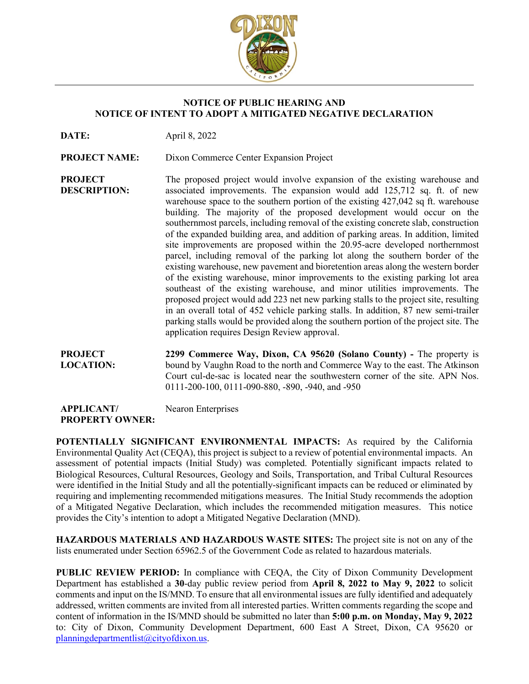

## **NOTICE OF PUBLIC HEARING AND NOTICE OF INTENT TO ADOPT A MITIGATED NEGATIVE DECLARATION**

**DATE:** April 8, 2022

**PROJECT NAME:** Dixon Commerce Center Expansion Project

**PROJECT DESCRIPTION:** The proposed project would involve expansion of the existing warehouse and associated improvements. The expansion would add 125,712 sq. ft. of new warehouse space to the southern portion of the existing 427,042 sq ft. warehouse building. The majority of the proposed development would occur on the southernmost parcels, including removal of the existing concrete slab, construction of the expanded building area, and addition of parking areas. In addition, limited site improvements are proposed within the 20.95-acre developed northernmost parcel, including removal of the parking lot along the southern border of the existing warehouse, new pavement and bioretention areas along the western border of the existing warehouse, minor improvements to the existing parking lot area southeast of the existing warehouse, and minor utilities improvements. The proposed project would add 223 net new parking stalls to the project site, resulting in an overall total of 452 vehicle parking stalls. In addition, 87 new semi-trailer parking stalls would be provided along the southern portion of the project site. The application requires Design Review approval.

**PROJECT LOCATION: 2299 Commerce Way, Dixon, CA 95620 (Solano County) -** The property is bound by Vaughn Road to the north and Commerce Way to the east. The Atkinson Court cul-de-sac is located near the southwestern corner of the site. APN Nos. 0111-200-100, 0111-090-880, -890, -940, and -950

| <b>APPLICANT/</b>      | Nearon Enterprises |
|------------------------|--------------------|
| <b>PROPERTY OWNER:</b> |                    |

**POTENTIALLY SIGNIFICANT ENVIRONMENTAL IMPACTS:** As required by the California Environmental Quality Act (CEQA), this project is subject to a review of potential environmental impacts. An assessment of potential impacts (Initial Study) was completed. Potentially significant impacts related to Biological Resources, Cultural Resources, Geology and Soils, Transportation, and Tribal Cultural Resources were identified in the Initial Study and all the potentially-significant impacts can be reduced or eliminated by requiring and implementing recommended mitigations measures. The Initial Study recommends the adoption of a Mitigated Negative Declaration, which includes the recommended mitigation measures. This notice provides the City's intention to adopt a Mitigated Negative Declaration (MND).

**HAZARDOUS MATERIALS AND HAZARDOUS WASTE SITES:** The project site is not on any of the lists enumerated under Section 65962.5 of the Government Code as related to hazardous materials.

**PUBLIC REVIEW PERIOD:** In compliance with CEQA, the City of Dixon Community Development Department has established a **30**-day public review period from **April 8, 2022 to May 9, 2022** to solicit comments and input on the IS/MND. To ensure that all environmental issues are fully identified and adequately addressed, written comments are invited from all interested parties. Written comments regarding the scope and content of information in the IS/MND should be submitted no later than **5:00 p.m. on Monday, May 9, 2022** to: City of Dixon, Community Development Department, 600 East A Street, Dixon, CA 95620 or [planningdepartmentlist@cityofdixon.us.](mailto:planningdepartmentlist@cityofdixon.us)